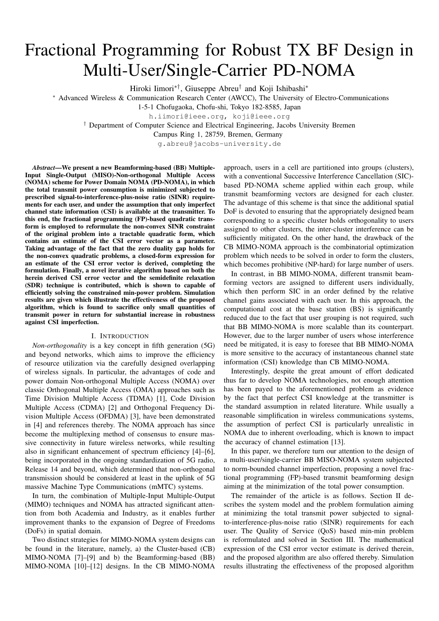# Fractional Programming for Robust TX BF Design in Multi-User/Single-Carrier PD-NOMA

Hiroki Iimori∗†, Giuseppe Abreu† and Koji Ishibashi<sup>∗</sup>

<sup>∗</sup> Advanced Wireless & Communication Research Center (AWCC), The University of Electro-Communications

1-5-1 Chofugaoka, Chofu-shi, Tokyo 182-8585, Japan

h.iimori@ieee.org, koji@ieee.org

† Department of Computer Science and Electrical Engineering, Jacobs University Bremen

Campus Ring 1, 28759, Bremen, Germany

g.abreu@jacobs-university.de

*Abstract*—We present a new Beamforming-based (BB) Multiple-Input Single-Output (MISO)-Non-orthogonal Multiple Access (NOMA) scheme for Power Domain NOMA (PD-NOMA), in which the total transmit power consumption is minimized subjected to prescribed signal-to-interference-plus-noise ratio (SINR) requirements for each user, and under the assumption that only imperfect channel state information (CSI) is available at the transmitter. To this end, the fractional programming (FP)-based quadratic transform is employed to reformulate the non-convex SINR constraint of the original problem into a tractable quadratic form, which contains an estimate of the CSI error vector as a parameter. Taking advantage of the fact that the zero duality gap holds for the non-convex quadratic problems, a closed-form expression for an estimate of the CSI error vector is derived, completing the formulation. Finally, a novel iterative algorithm based on both the herein derived CSI error vector and the semidefinite relaxation (SDR) technique is contributed, which is shown to capable of efficiently solving the constrained min-power problem. Simulation results are given which illustrate the effectiveness of the proposed algorithm, which is found to sacrifice only small quantities of transmit power in return for substantial increase in robustness against CSI imperfection.

# I. INTRODUCTION

*Non-orthogonality* is a key concept in fifth generation (5G) and beyond networks, which aims to improve the efficiency of resource utilization via the carefully designed overlapping of wireless signals. In particular, the advantages of code and power domain Non-orthogonal Multiple Access (NOMA) over classic Orthogonal Multiple Access (OMA) approaches such as Time Division Multiple Access (TDMA) [1], Code Division Multiple Access (CDMA) [2] and Orthogonal Frequency Division Multiple Access (OFDMA) [3], have been demonstrated in [4] and references thereby. The NOMA approach has since become the multiplexing method of consensus to ensure massive connectivity in future wireless networks, while resulting also in significant enhancement of spectrum efficiency [4]–[6], being incorporated in the ongoing standardization of 5G radio, Release 14 and beyond, which determined that non-orthogonal transmission should be considered at least in the uplink of 5G massive Machine Type Communications (mMTC) systems.

In turn, the combination of Multiple-Input Multiple-Output (MIMO) techniques and NOMA has attracted significant attention from both Academia and Industry, as it enables further improvement thanks to the expansion of Degree of Freedoms (DoFs) in spatial domain.

Two distinct strategies for MIMO-NOMA system designs can be found in the literature, namely, a) the Cluster-based (CB) MIMO-NOMA [7]–[9] and b) the Beamforming-based (BB) MIMO-NOMA [10]–[12] designs. In the CB MIMO-NOMA

approach, users in a cell are partitioned into groups (clusters), with a conventional Successive Interference Cancellation (SIC) based PD-NOMA scheme applied within each group, while transmit beamforming vectors are designed for each cluster. The advantage of this scheme is that since the additional spatial DoF is devoted to ensuring that the appropriately designed beam corresponding to a specific cluster holds orthogonality to users assigned to other clusters, the inter-cluster interference can be sufficiently mitigated. On the other hand, the drawback of the CB MIMO-NOMA approach is the combinatorial optimization problem which needs to be solved in order to form the clusters, which becomes prohibitive (NP-hard) for large number of users.

In contrast, in BB MIMO-NOMA, different transmit beamforming vectors are assigned to different users individually, which then perform SIC in an order defined by the relative channel gains associated with each user. In this approach, the computational cost at the base station (BS) is significantly reduced due to the fact that user grouping is not required, such that BB MIMO-NOMA is more scalable than its counterpart. However, due to the larger number of users whose interference need be mitigated, it is easy to foresee that BB MIMO-NOMA is more sensitive to the accuracy of instantaneous channel state information (CSI) knowledge than CB MIMO-NOMA.

Interestingly, despite the great amount of effort dedicated thus far to develop NOMA technologies, not enough attention has been payed to the aforementioned problem as evidence by the fact that perfect CSI knowledge at the transmitter is the standard assumption in related literature. While usually a reasonable simplification in wireless communications systems, the assumption of perfect CSI is particularly unrealistic in NOMA due to inherent overloading, which is known to impact the accuracy of channel estimation [13].

In this paper, we therefore turn our attention to the design of a multi-user/single-carrier BB MISO-NOMA system subjected to norm-bounded channel imperfection, proposing a novel fractional programming (FP)-based transmit beamforming design aiming at the minimization of the total power consumption.

The remainder of the article is as follows. Section II describes the system model and the problem formulation aiming at minimizing the total transmit power subjected to signalto-interference-plus-noise ratio (SINR) requirements for each user. The Quality of Service (QoS) based min-min problem is reformulated and solved in Section III. The mathematical expression of the CSI error vector estimate is derived therein, and the proposed algorithm are also offered thereby. Simulation results illustrating the effectiveness of the proposed algorithm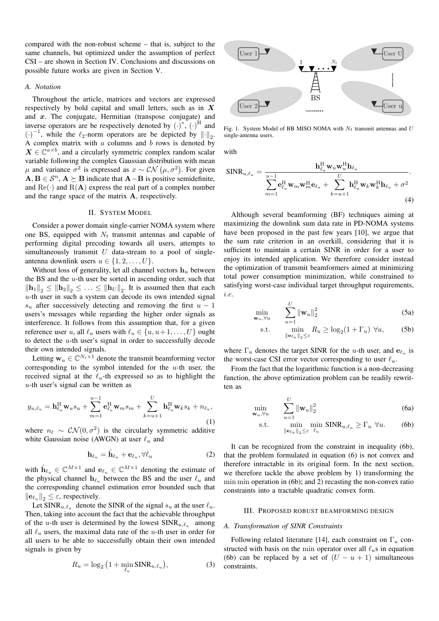compared with the non-robust scheme – that is, subject to the same channels, but optimized under the assumption of perfect CSI – are shown in Section IV. Conclusions and discussions on possible future works are given in Section V.

#### *A. Notation*

Throughout the article, matrices and vectors are expressed respectively by bold capital and small letters, such as in  $X$ and  $x$ . The conjugate, Hermitian (transpose conjugate) and inverse operators are be respectively denoted by  $(\cdot)^*, (\cdot)^H$  and  $\left(\cdot\right)^{-1}$ , while the  $\ell_2$ -norm operators are be depicted by  $\lVert \cdot \rVert_2$ . A complex matrix with  $a$  columns and  $b$  rows is denoted by  $X \in \mathbb{C}^{a \times b}$ , and a circularly symmetric complex random scalar variable following the complex Gaussian distribution with mean  $μ$  and variance  $σ^2$  is expressed as  $x \sim \mathcal{CN}(\mu, σ^2)$ . For given  $A, B \in \mathcal{S}^n$ ,  $A \succeq B$  indicate that  $A - B$  is positive semidefinite, and  $\text{Re}(\cdot)$  and  $\text{R}(\mathbf{A})$  express the real part of a complex number and the range space of the matrix A, respectively.

#### II. SYSTEM MODEL

Consider a power domain single-carrier NOMA system where one BS, equipped with  $N_t$  transmit antennas and capable of performing digital precoding towards all users, attempts to simultaneously transmit  $U$  data-stream to a pool of singleantenna downlink users  $u \in \{1, 2, \ldots, U\}$ .

Without loss of generality, let all channel vectors  $h_u$  between the BS and the  $u$ -th user be sorted in ascending order, such that  $\|\mathbf{h}_1\|_2 \leq \|\mathbf{h}_2\|_2 \leq \ldots \leq \|\mathbf{h}_U\|_2$ . It is assumed then that each  $u$ -th user in such a system can decode its own intended signal  $s_u$  after successively detecting and removing the first  $u - 1$ users's messages while regarding the higher order signals as interference. It follows from this assumption that, for a given reference user u, all  $\ell_u$  users with  $\ell_u \in \{u, u+1, \dots, U\}$  ought to detect the u-th user's signal in order to successfully decode their own intended signals.

Letting  $\mathbf{w}_u \in \mathbb{C}^{N_t \times 1}$  denote the transmit beamforming vector corresponding to the symbol intended for the  $u$ -th user, the received signal at the  $\ell_u$ -th expressed so as to highlight the  $u$ -th user's signal can be written as

$$
y_{u,\ell_u} = \mathbf{h}_{\ell_u}^H \mathbf{w}_u s_u + \sum_{m=1}^{u-1} \mathbf{e}_{\ell_u}^H \mathbf{w}_m s_m + \sum_{k=u+1}^U \mathbf{h}_{\ell_u}^H \mathbf{w}_k s_k + n_{\ell_u},
$$
\n(1)

where  $n_\ell \sim \mathcal{CN}(0, \sigma^2)$  is the circularly symmetric additive white Gaussian noise (AWGN) at user  $\ell_u$  and

$$
\mathbf{h}_{\ell_u} = \hat{\mathbf{h}}_{\ell_u} + \mathbf{e}_{\ell_u}, \forall \ell_u \tag{2}
$$

with  $\hat{\mathbf{h}}_{\ell_u} \in \mathbb{C}^{M \times 1}$  and  $\mathbf{e}_{\ell_u} \in \mathbb{C}^{M \times 1}$  denoting the estimate of the physical channel  $h_{\ell_u}$  between the BS and the user  $\ell_u$  and the corresponding channel estimation error bounded such that  $\|\mathbf{e}_{\ell_{u}}\|_{2} \leq \varepsilon$ , respectively.

Let SINR<sub>u, $\ell_u$ </sub> denote the SINR of the signal  $s_u$  at the user  $\ell_u$ . Then, taking into account the fact that the achievable throughput of the u-th user is determined by the lowest  $SINR_{u,\ell_u}$  among all  $\ell_u$  users, the maximal data rate of the u-th user in order for all users to be able to successfully obtain their own intended signals is given by

$$
R_u = \log_2 \left( 1 + \min_{\ell_u} \text{SINR}_{u, \ell_u} \right),\tag{3}
$$



Fig. 1. System Model of BB MISO NOMA with  $N_t$  transmit antennas and U single-antenna users.

with

wu,∀u

min  $\mathbf{w}_u$ 

$$
SINR_{u,\ell_u} = \frac{\mathbf{h}_{\ell_u}^H \mathbf{w}_u \mathbf{w}_u^H \mathbf{h}_{\ell_u}}{\sum_{m=1}^{u-1} \mathbf{e}_{\ell_u}^H \mathbf{w}_m \mathbf{w}_m^H \mathbf{e}_{\ell_u} + \sum_{k=u+1}^U \mathbf{h}_{\ell_u}^H \mathbf{w}_k \mathbf{w}_k^H \mathbf{h}_{\ell_u} + \sigma^2}
$$
\n(4)

is are expressed<br>
s, such as in X<br>
conjugate) and<br>
conjugate) and<br>
conjugate) and<br>  $\mathbb{F}_{2}^{(1)}$ . System Model of BB MISO NC<br>
s random scalar<br>
s is denoted by<br>
s in the right sum in the set of the maximization with<br>
semi Although several beamforming (BF) techniques aiming at maximizing the downlink sum data rate in PD-NOMA systems have been proposed in the past few years [10], we argue that the sum rate criterion in an overkill, considering that it is sufficient to maintain a certain SINR in order for a user to enjoy its intended application. We therefore consider instead the optimization of transmit beamformers aimed at minimizing total power consumption minimization, while constrained to satisfying worst-case individual target throughput requirements, i.e.

$$
\min_{\mathbf{w}_u, \forall u} \qquad \sum_{u=1}^U \|\mathbf{w}_u\|_2^2 \tag{5a}
$$

$$
\text{s.t.} \qquad \min_{\|\mathbf{e}_{\ell_u}\|_2 \le \varepsilon} R_u \ge \log_2(1 + \Gamma_u) \ \forall u,\tag{5b}
$$

where  $\Gamma_u$  denotes the target SINR for the u-th user, and  $e_{\ell_u}$  is the worst-case CSI error vector corresponding to user  $\ell_u$ .

From the fact that the logarithmic function is a non-decreasing function, the above optimization problem can be readily rewritten as

$$
\lim_{\sqrt{u}} \sum_{u=1}^{U} \|\mathbf{w}_u\|_2^2 \tag{6a}
$$

s.t. 
$$
\min_{\|\mathbf{e}_{\ell_u}\|_2 \leq \varepsilon} \min_{\ell_u} \text{SINR}_{u,\ell_u} \geq \Gamma_u \ \forall u. \tag{6b}
$$

It can be recognized from the constraint in inequality (6b), that the problem formulated in equation (6) is not convex and therefore intractable in its original form. In the next section, we therefore tackle the above problem by 1) transforming the min min operation in (6b); and 2) recasting the non-convex ratio constraints into a tractable quadratic convex form.

## III. PROPOSED ROBUST BEAMFORMING DESIGN

## *A. Transformation of SINR Constraints*

Following related literature [14], each constraint on  $\Gamma_u$  constructed with basis on the min operator over all  $\ell_u$ s in equation (6b) can be replaced by a set of  $(U - u + 1)$  simultaneous constraints.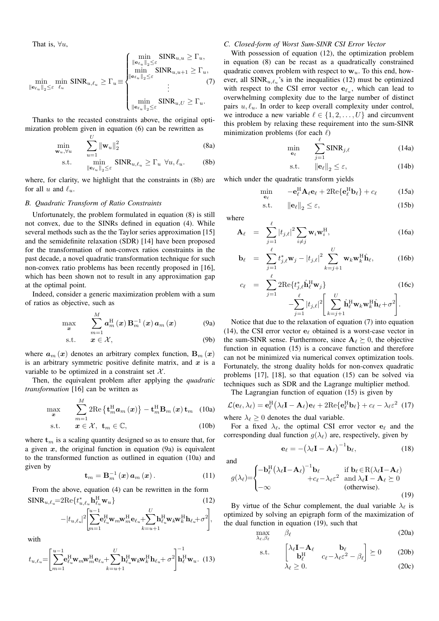That is,  $\forall u$ ,

$$
\min_{\|\mathbf{e}_{\ell_u}\|_2 \leq \varepsilon} \min_{\ell_u} \text{SINR}_{u,\ell_u} \geq \Gamma_u = \begin{cases} \min_{\|\mathbf{e}_{\ell_u}\|_2 \leq \varepsilon} \text{SINR}_{u,u} \geq \Gamma_u, \\ \min_{\|\mathbf{e}_{\ell_u}\|_2 \leq \varepsilon} \text{SINR}_{u,u+1} \geq \Gamma_u, \\ \vdots \\ \min_{\|\mathbf{e}_{\ell_u}\|_2 \leq \varepsilon} \text{SINR}_{u,U} \geq \Gamma_u. \end{cases} (7)
$$

Thanks to the recasted constraints above, the original optimization problem given in equation (6) can be rewritten as

$$
\min_{\mathbf{w}_u, \forall u} \qquad \sum_{u=1}^U \|\mathbf{w}_u\|_2^2 \tag{8a}
$$
\n
$$
\text{s.t.} \qquad \min_{\|\mathbf{w}_u\| \le \varepsilon} \text{SINR}_{u, \ell_u} \ge \Gamma_u \ \forall u, \ell_u. \tag{8b}
$$

where, for clarity, we highlight that the constraints in (8b) are for all 
$$
u
$$
 and  $\ell_u$ .

#### *B. Quadratic Transform of Ratio Constraints*

 $\left\Vert \mathbf{e}_{\ell_{u}}\right\Vert _{2}\leq\varepsilon$ 

Unfortunately, the problem formulated in equation (8) is still not convex, due to the SINRs defined in equation (4). While several methods such as the the Taylor series approximation [15] and the semidefinite relaxation (SDR) [14] have been proposed for the transformation of non-convex ratios constraints in the past decade, a novel quadratic transformation technique for such non-convex ratio problems has been recently proposed in [16], which has been shown not to result in any approximation gap at the optimal point.

Indeed, consider a generic maximization problem with a sum of ratios as objective, such as

$$
\max_{\boldsymbol{x}} \qquad \sum_{m=1}^{M} \boldsymbol{a}_{m}^{\mathrm{H}}\left(\boldsymbol{x}\right) \mathbf{B}_{m}^{-1}\left(\boldsymbol{x}\right) \boldsymbol{a}_{m}\left(\boldsymbol{x}\right) \tag{9a}
$$

$$
s.t. \t x \in \mathcal{X}, \t (9b)
$$

where  $a_m(x)$  denotes an arbitrary complex function,  $B_m(x)$ is an arbitrary symmetric positive definite matrix, and  $x$  is a variable to be optimized in a constraint set  $\mathcal{X}$ .

Then, the equivalent problem after applying the *quadratic transformation* [16] can be written as

$$
\max_{\boldsymbol{x}} \qquad \sum_{m=1}^{M} 2 \text{Re}\left\{ \mathbf{t}_{m}^{\text{H}} \boldsymbol{a}_{m} \left( \boldsymbol{x} \right) \right\} - \mathbf{t}_{m}^{\text{H}} \mathbf{B}_{m} \left( \boldsymbol{x} \right) \mathbf{t}_{m} \quad (10a)
$$

$$
\text{s.t.} \qquad \mathbf{x} \in \mathcal{X}, \ \mathbf{t}_m \in \mathbb{C}, \tag{10b}
$$

where  $t_m$  is a scaling quantity designed so as to ensure that, for a given  $x$ , the original function in equation (9a) is equivalent to the transformed function as outlined in equation (10a) and given by

$$
\mathbf{t}_{m} = \mathbf{B}_{m}^{-1}(\boldsymbol{x})\,\boldsymbol{a}_{m}(\boldsymbol{x}). \tag{11}
$$

From the above, equation (4) can be rewritten in the form  $SINR_{u,\ell_u}=2Re{t_{u,\ell_u}^*} \mathbf{h}_{\ell_u}^H \mathbf{w}_u$  (12)

$$
-|t_{u,\ell_u}|^2\!\Bigg[\!\!\sum_{m=1}^{u-1}\!\!{\mathbf{e}}_{\ell_u}^{\rm H}\!{\mathbf{w}}_m\!{\mathbf{w}}_m^{\rm H}{\mathbf{e}}_{\ell_u}\!\!+\!\!\sum_{k=u+1}^{U}\!\!\mathbf{h}_{\ell_u}^{\rm H}\!{\mathbf{w}}_k\!{\mathbf{w}}_k^{\rm H}{\mathbf{h}}_{\ell_u}\!\!+\!\sigma^2\!\Bigg],
$$

with

$$
t_{u,\ell_u} = \left[\sum_{m=1}^{u-1} \mathbf{e}_{\ell_u}^H \mathbf{w}_m \mathbf{w}_m^H \mathbf{e}_{\ell_u} + \sum_{k=u+1}^U \mathbf{h}_{\ell_u}^H \mathbf{w}_k \mathbf{w}_k^H \mathbf{h}_{\ell_u} + \sigma^2 \right] \mathbf{h}_{\ell}^H \mathbf{w}_u.
$$
 (13)

# *C. Closed-form of Worst Sum-SINR CSI Error Vector*

With possession of equation (12), the optimization problem in equation (8) can be recast as a quadratically constrained quadratic convex problem with respect to  $w_u$ . To this end, however, all  $SINR_{u,\ell_u}$ 's in the inequalities (12) must be optimized with respect to the CSI error vector  $e_{\ell_u}$ , which can lead to overwhelming complexity due to the large number of distinct pairs  $u, \ell_u$ . In order to keep overall complexity under control, we introduce a new variable  $\ell \in \{1, 2, \ldots, U\}$  and circumvent this problem by relaxing these requirement into the sum-SINR minimization problems (for each  $\ell$ )

$$
\min_{\mathbf{e}_{\ell}} \qquad \sum_{j=1}^{\ell} \text{SINR}_{j,\ell} \tag{14a}
$$

$$
\text{s.t.} \qquad \|\mathbf{e}_{\ell}\|_2 \le \varepsilon, \tag{14b}
$$

which under the quadratic transform yields

$$
\min_{\mathbf{e}_{\ell}} \qquad -\mathbf{e}_{\ell}^{\mathrm{H}} \mathbf{A}_{\ell} \mathbf{e}_{\ell} + 2 \mathrm{Re}\{\mathbf{e}_{\ell}^{\mathrm{H}} \mathbf{b}_{\ell}\} + c_{\ell} \tag{15a}
$$

$$
\text{s.t.} \qquad \|\mathbf{e}_{\ell}\|_{2} \leq \varepsilon,\tag{15b}
$$

where

m

$$
\mathbf{A}_{\ell} = \sum_{j=1}^{\ell} |t_{j,\ell}|^2 \sum_{i \neq j} \mathbf{w}_i \mathbf{w}_i^{\mathrm{H}}, \tag{16a}
$$

$$
\mathbf{b}_{\ell} = \sum_{j=1}^{\ell} t_{j,\ell}^{*} \mathbf{w}_{j} - |t_{j,\ell}|^{2} \sum_{k=j+1}^{U} \mathbf{w}_{k} \mathbf{w}_{k}^{\mathrm{H}} \hat{\mathbf{h}}_{\ell}, \qquad (16b)
$$

$$
c_{\ell} = \sum_{j=1}^{\ell} 2 \text{Re}\{t_{j,\ell}^{*} \hat{\mathbf{h}}_{\ell}^{\text{H}} \mathbf{w}_{j}\} - \sum_{j=1}^{\ell} |t_{j,\ell}|^{2} \Bigg[ \sum_{k=j+1}^{U} \hat{\mathbf{h}}_{\ell}^{\text{H}} \mathbf{w}_{k} \mathbf{w}_{k}^{\text{H}} \hat{\mathbf{h}}_{\ell} + \sigma^{2} \Bigg].
$$
\n(16c)

Notice that due to the relaxation of equation (7) into equation (14), the CSI error vector  $e_\ell$  obtained is a worst-case vector in the sum-SINR sense. Furthermore, since  $A_\ell \succeq 0$ , the objective function in equation (15) is a concave function and therefore can not be minimized via numerical convex optimization tools. Fortunately, the strong duality holds for non-convex quadratic problems [17], [18], so that equation (15) can be solved via techniques such as SDR and the Lagrange multiplier method.

The Lagrangian function of equation (15) is given by

$$
\mathcal{L}(\mathbf{e}_{\ell}, \lambda_{\ell}) = \mathbf{e}_{\ell}^{\mathrm{H}}(\lambda_{\ell} \mathbf{I} - \mathbf{A}_{\ell}) \mathbf{e}_{\ell} + 2 \mathrm{Re}\{\mathbf{e}_{\ell}^{\mathrm{H}} \mathbf{b}_{\ell}\} + c_{\ell} - \lambda_{\ell} \varepsilon^{2} (17)
$$

where  $\lambda_{\ell} \geq 0$  denotes the dual variable.

For a fixed  $\lambda_{\ell}$ , the optimal CSI error vector  $e_{\ell}$  and the corresponding dual function  $q(\lambda_\ell)$  are, respectively, given by

$$
\mathbf{e}_{\ell} = -(\lambda_{\ell} \mathbf{I} - \mathbf{A}_{\ell})^{-1} \mathbf{b}_{\ell}, \tag{18}
$$

and

s.

$$
g(\lambda_{\ell}) = \begin{cases}\n-\mathbf{b}_{\ell}^{H} (\lambda_{\ell} \mathbf{I} - \mathbf{A}_{\ell})^{-1} \mathbf{b}_{\ell} & \text{if } \mathbf{b}_{\ell} \in R(\lambda_{\ell} \mathbf{I} - \mathbf{A}_{\ell}) \\
+c_{\ell} - \lambda_{\ell} \varepsilon^{2} & \text{and } \lambda_{\ell} \mathbf{I} - \mathbf{A}_{\ell} \succeq 0 \\
-\infty & \text{(otherwise)}.\n\end{cases}
$$
\n(19)

By virtue of the Schur complement, the dual variable  $\lambda_{\ell}$  is optimized by solving an epigraph form of the maximization of the dual function in equation (19), such that

$$
\max_{\lambda_{\ell},\beta_{\ell}} \beta_{\ell} \tag{20a}
$$

$$
\begin{array}{ll}\n\text{.t.} & \begin{bmatrix} \lambda_{\ell} \mathbf{I} - \mathbf{A}_{\ell} & \mathbf{b}_{\ell} \\ \mathbf{b}_{\ell}^{\mathrm{H}} & c_{\ell} - \lambda_{\ell} \varepsilon^{2} - \beta_{\ell} \end{bmatrix} \succeq 0 \end{array} \tag{20b}
$$
\n
$$
\lambda_{\ell} \geq 0. \tag{20c}
$$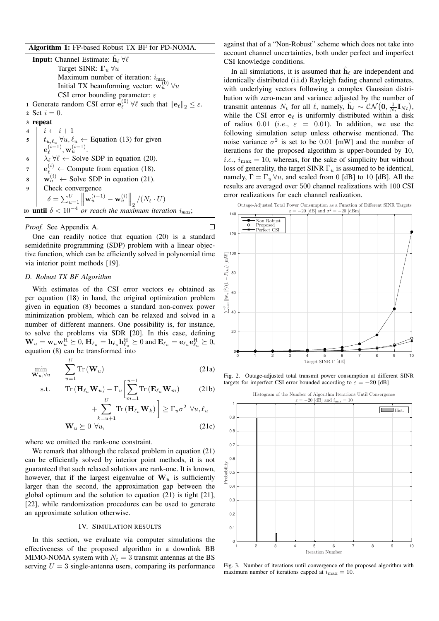# Algorithm 1: FP-based Robust TX BF for PD-NOMA.

**Input:** Channel Estimate:  $\hat{\mathbf{h}}_{\ell} \forall \ell$ Target SINR:  $\Gamma_u$   $\forall u$ Maximum number of iteration:  $i_{\text{max}}$ Initial TX beamforming vector:  $\mathbf{w}_u^{(0)}$   $\forall u$ CSI error bounding parameter:  $\varepsilon$ 1 Generate random CSI error  $\mathbf{e}_{\ell}^{(0)}$  $\mathcal{E}^{(0)}_{\ell}$   $\forall \ell$  such that  $\left\|\mathbf{e}_{\ell}\right\|_{2} \leq \varepsilon$ . 2 Set  $i = 0$ . 3 repeat  $\begin{array}{c|c} \n\mathbf{4} & i \leftarrow i+1 \\
\hline\n\mathbf{5} & t_{u,\ell_v} \ \forall u, \ell\n\end{array}$ 5  $t_{u,\ell_u} \forall u, \ell_u \leftarrow$  Equation (13) for given  $\mathbf{e}_{\ell}^{(i-1)}$  $\mathbf{w}_u^{(i-1)}, \mathbf{w}_u^{(i-1)}.$ 6  $\lambda_{\ell} \forall \ell \leftarrow$  Solve SDP in equation (20).  $7 \mid \mathbf{e}_{\ell}^{(i)} \leftarrow \text{Compute from equation (18)}.$  $\mathbf{s} \mid \mathbf{w}_u^{(i)} \leftarrow$  Solve SDP in equation (21). 9 Check convergence  $\delta = \sum_{u=1}^U$  $\left\|\mathbf{w}_u^{(i-1)} - \mathbf{w}_u^{(i)}\right\|_2 / (N_t \cdot U)$ 10 **until**  $\delta < 10^{-4}$  *or reach the maximum iteration*  $i_{max}$ ;

#### *Proof.* See Appendix A.

One can readily notice that equation (20) is a standard semidefinite programming (SDP) problem with a linear objective function, which can be efficiently solved in polynomial time via interior point methods [19].

#### *D. Robust TX BF Algorithm*

 $\mathbf{r}$ 

With estimates of the CSI error vectors  $e_{\ell}$  obtained as per equation (18) in hand, the original optimization problem given in equation (8) becomes a standard non-convex power minimization problem, which can be relaxed and solved in a number of different manners. One possibility is, for instance, to solve the problems via SDR [20]. In this case, defining  $\mathbf{W}_u = \mathbf{w}_u \mathbf{w}_u^{\mathrm{H}} \succeq 0, \mathbf{H}_{\ell_u} = \mathbf{h}_{\ell_u} \mathbf{h}_{\ell_u}^{\mathrm{H}} \succeq 0$  and  $\mathbf{E}_{\ell_u} = \mathbf{e}_{\ell_u} \mathbf{e}_{\ell_u}^{\mathrm{H}} \succeq 0$ , equation (8) can be transformed into

$$
\min_{\mathbf{W}_u, \forall u} \qquad \sum_{u=1}^{C} \text{Tr}(\mathbf{W}_u) \tag{21a}
$$

s.t. 
$$
\text{Tr} (\mathbf{H}_{\ell_u} \mathbf{W}_u) - \Gamma_u \left[ \sum_{m=1}^{u-1} \text{Tr} (\mathbf{E}_{\ell_u} \mathbf{W}_m) \right] \tag{21b}
$$

$$
+ \sum_{m=1}^{U} \text{Tr} (\mathbf{H}_{\ell_m} \mathbf{W}_m) \leq \Gamma \sigma^2 \text{Var} \ell
$$

$$
+\sum_{k=u+1} \text{Tr}\left(\mathbf{H}_{\ell_u} \mathbf{W}_k\right) \le \Gamma_u \sigma^2 \ \forall u, \ell_u
$$
  

$$
\mathbf{W}_u \succeq 0 \ \forall u,
$$
 (21c)

where we omitted the rank-one constraint.

We remark that although the relaxed problem in equation (21) can be efficiently solved by interior point methods, it is not guaranteed that such relaxed solutions are rank-one. It is known, however, that if the largest eigenvalue of  $W_u$  is sufficiently larger than the second, the approximation gap between the global optimum and the solution to equation (21) is tight [21], [22], while randomization procedures can be used to generate an approximate solution otherwise.

## IV. SIMULATION RESULTS

In this section, we evaluate via computer simulations the effectiveness of the proposed algorithm in a downlink BB MIMO-NOMA system with  $N_t = 3$  transmit antennas at the BS serving  $U = 3$  single-antenna users, comparing its performance against that of a "Non-Robust" scheme which does not take into account channel uncertainties, both under perfect and imperfect CSI knowledge conditions.

In all simulations, it is assumed that  $\hat{h}_{\ell}$  are independent and identically distributed (i.i.d) Rayleigh fading channel estimates, with underlying vectors following a complex Gaussian distribution with zero-mean and variance adjusted by the number of transmit antennas  $N_t$  for all  $\ell$ , namely,  $\hat{\mathbf{h}}_{\ell} \sim \mathcal{CN}(\mathbf{0}, \frac{1}{N_t} \mathbf{I}_{N_t}),$ while the CSI error  $e_\ell$  is uniformly distributed within a disk of radius 0.01 (i.e.,  $\varepsilon = 0.01$ ). In addition, we use the following simulation setup unless otherwise mentioned. The noise variance  $\sigma^2$  is set to be 0.01 [mW] and the number of iterations for the proposed algorithm is upper-bounded by 10, *i.e.*,  $i_{\text{max}} = 10$ , whereas, for the sake of simplicity but without loss of generality, the target SINR  $\Gamma_u$  is assumed to be identical, namely,  $\Gamma = \Gamma_u \forall u$ , and scaled from 0 [dB] to 10 [dB]. All the results are averaged over 500 channel realizations with 100 CSI error realizations for each channel realization.



Fig. 2. Outage-adjusted total transmit power consumption at different SINR targets for imperfect CSI error bounded according to  $\varepsilon = -20$  [dB]



Fig. 3. Number of iterations until convergence of the proposed algorithm with maximum number of iterations capped at  $i_{\text{max}} = 10$ .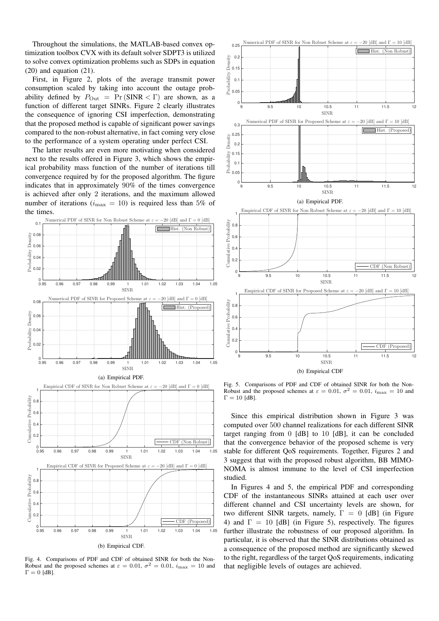Throughout the simulations, the MATLAB-based convex optimization toolbox CVX with its default solver SDPT3 is utilized to solve convex optimization problems such as SDPs in equation  $(20)$  and equation  $(21)$ .

First, in Figure 2, plots of the average transmit power consumption scaled by taking into account the outage probability defined by  $P_{\text{Out}} = \Pr(\text{SINR} < \Gamma)$  are shown, as a function of different target SINRs. Figure 2 clearly illustrates the consequence of ignoring CSI imperfection, demonstrating that the proposed method is capable of significant power savings compared to the non-robust alternative, in fact coming very close to the performance of a system operating under perfect CSI.

The latter results are even more motivating when considered next to the results offered in Figure 3, which shows the empirical probability mass function of the number of iterations till convergence required by for the proposed algorithm. The figure indicates that in approximately 90% of the times convergence is achieved after only 2 iterations, and the maximum allowed number of iterations ( $i_{\text{max}} = 10$ ) is required less than 5% of the times.



Fig. 4. Comparisons of PDF and CDF of obtained SINR for both the Non-Robust and the proposed schemes at  $\varepsilon = 0.01$ ,  $\sigma^2 = 0.01$ ,  $i_{\text{max}} = 10$  and  $\Gamma = 0$  [dB].



Fig. 5. Comparisons of PDF and CDF of obtained SINR for both the Non-Robust and the proposed schemes at  $\varepsilon = 0.01$ ,  $\sigma^2 = 0.01$ ,  $i_{\text{max}} = 10$  and  $\Gamma = 10$  [dB].

Since this empirical distribution shown in Figure 3 was computed over 500 channel realizations for each different SINR target ranging from  $0$  [dB] to  $10$  [dB], it can be concluded that the convergence behavior of the proposed scheme is very stable for different QoS requirements. Together, Figures 2 and 3 suggest that with the proposed robust algorithm, BB MIMO-NOMA is almost immune to the level of CSI imperfection studied.

In Figures 4 and 5, the empirical PDF and corresponding CDF of the instantaneous SINRs attained at each user over different channel and CSI uncertainty levels are shown, for two different SINR targets, namely,  $\Gamma = 0$  [dB] (in Figure 4) and  $\Gamma = 10$  [dB] (in Figure 5), respectively. The figures further illustrate the robustness of our proposed algorithm. In particular, it is observed that the SINR distributions obtained as a consequence of the proposed method are significantly skewed to the right, regardless of the target QoS requirements, indicating that negligible levels of outages are achieved.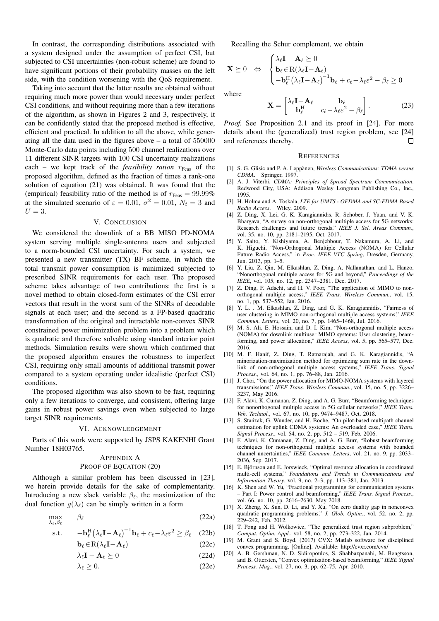In contrast, the corresponding distributions associated with a system designed under the assumption of perfect CSI, but subjected to CSI uncertainties (non-robust scheme) are found to have significant portions of their probability masses on the left side, with the condition worsening with the QoS requirement.

Taking into account that the latter results are obtained without requiring much more power than would necessary under perfect CSI conditions, and without requiring more than a few iterations of the algorithm, as shown in Figures 2 and 3, respectively, it can be confidently stated that the proposed method is effective, efficient and practical. In addition to all the above, while generating all the data used in the figures above – a total of 550000 Monte-Carlo data points including 500 channel realizations over 11 different SINR targets with 100 CSI uncertainty realizations each – we kept track of the *feasibility ration*  $r_{\text{Feas}}$  of the proposed algorithm, defined as the fraction of times a rank-one solution of equation (21) was obtained. It was found that the (empirical) feasibility ratio of the method is of  $r_{\text{Feas}} = 99.99\%$ at the simulated scenario of  $\varepsilon = 0.01$ ,  $\sigma^2 = 0.01$ ,  $N_t = 3$  and  $U=3$ .

## V. CONCLUSION

We considered the downlink of a BB MISO PD-NOMA system serving multiple single-antenna users and subjected to a norm-bounded CSI uncertainty. For such a system, we presented a new transmitter (TX) BF scheme, in which the total transmit power consumption is minimized subjected to prescribed SINR requirements for each user. The proposed scheme takes advantage of two contributions: the first is a novel method to obtain closed-form estimates of the CSI error vectors that result in the worst sum of the SINRs of decodable signals at each user; and the second is a FP-based quadratic transformation of the original and intractable non-convex SINR constrained power minimization problem into a problem which is quadratic and therefore solvable using standard interior point methods. Simulation results were shown which confirmed that the proposed algorithm ensures the robustness to imperfect CSI, requiring only small amounts of additional transmit power compared to a system operating under idealistic (perfect CSI) conditions.

The proposed algorithm was also shown to be fast, requiring only a few iterations to converge, and consistent, offering large gains in robust power savings even when subjected to large target SINR requirements.

#### VI. ACKNOWLEDGEMENT

Parts of this work were supported by JSPS KAKENHI Grant Number 18H03765.

# APPENDIX A PROOF OF EQUATION (20)

Although a similar problem has been discussed in [23], we herein provide details for the sake of complementarity. Introducing a new slack variable  $\beta_{\ell}$ , the maximization of the dual function  $g(\lambda_\ell)$  can be simply written in a form

$$
\max_{\lambda_{\ell}, \beta_{\ell}} \beta_{\ell} \tag{22a}
$$

$$
\text{s.t.} \qquad -\mathbf{b}_{\ell}^{\text{H}} \left( \lambda_{\ell} \mathbf{I} - \mathbf{A}_{\ell} \right)^{-1} \mathbf{b}_{\ell} + c_{\ell} - \lambda_{\ell} \varepsilon^{2} \ge \beta_{\ell} \quad (22b)
$$

$$
\mathbf{b}_{\ell} \in \mathcal{R}(\lambda_{\ell} \mathbf{I} - \mathbf{A}_{\ell})
$$
 (22c)

$$
\lambda_{\ell} \mathbf{I} - \mathbf{A}_{\ell} \succeq 0 \tag{22d}
$$

$$
\lambda_{\ell} \ge 0. \tag{22e}
$$

Recalling the Schur complement, we obtain

$$
\mathbf{X} \succeq 0 \Leftrightarrow \begin{cases} \lambda_{\ell} \mathbf{I} - \mathbf{A}_{\ell} \succeq 0 \\ \mathbf{b}_{\ell} \in \mathcal{R}(\lambda_{\ell} \mathbf{I} - \mathbf{A}_{\ell}) \\ -\mathbf{b}_{\ell}^{\mathrm{H}} (\lambda_{\ell} \mathbf{I} - \mathbf{A}_{\ell})^{-1} \mathbf{b}_{\ell} + c_{\ell} - \lambda_{\ell} \varepsilon^{2} - \beta_{\ell} \ge 0 \end{cases}
$$

where

$$
\mathbf{X} = \begin{bmatrix} \lambda_{\ell} \mathbf{I} - \mathbf{A}_{\ell} & \mathbf{b}_{\ell} \\ \mathbf{b}_{\ell}^{\mathrm{H}} & c_{\ell} - \lambda_{\ell} \varepsilon^{2} - \beta_{\ell} \end{bmatrix}.
$$
 (23)

*Proof.* See Proposition 2.1 and its proof in [24]. For more details about the (generalized) trust region problem, see [24] and references thereby.  $\Box$ 

#### **REFERENCES**

- [1] S. G. Glisic and P. A. Leppänen, Wireless Communications: TDMA versus *CDMA*. Springer, 1997.
- [2] A. J. Viterbi, *CDMA: Principles of Spread Spectrum Communication*. Redwood City, USA: Addison Wesley Longman Publishing Co., Inc., 1995.
- [3] H. Holma and A. Toskala, *LTE for UMTS OFDMA and SC-FDMA Based Radio Access*. Wiley, 2009.
- [4] Z. Ding, X. Lei, G. K. Karagiannidis, R. Schober, J. Yuan, and V. K. Bhargava, "A survey on non-orthogonal multiple access for 5G networks: Research challenges and future trends," *IEEE J. Sel. Areas Commun.*, vol. 35, no. 10, pp. 2181–2195, Oct. 2017.
- [5] Y. Saito, Y. Kishiyama, A. Benjebbour, T. Nakamura, A. Li, and K. Higuchi, "Non-Orthogonal Multiple Access (NOMA) for Cellular Future Radio Access," in *Proc. IEEE VTC Spring*, Dresden, Germany, Jun. 2013, pp. 1–5.
- [6] Y. Liu, Z. Qin, M. Elkashlan, Z. Ding, A. Nallanathan, and L. Hanzo, "Nonorthogonal multiple access for 5G and beyond," *Proceedings of the IEEE*, vol. 105, no. 12, pp. 2347–2381, Dec. 2017.
- [7] Z. Ding, F. Adachi, and H. V. Poor, "The application of MIMO to nonorthogonal multiple access," *IEEE Trans. Wireless Commun.*, vol. 15, no. 1, pp. 537–552, Jan. 2016.
- [8] Y. L. . M. Elkashlan, Z. Ding, and G. K. Karagiannidis, "Fairness of user clustering in MIMO non-orthogonal multiple access systems," *IEEE Commun. Letters*, vol. 20, no. 7, pp. 1465–1468, Jul. 2016.
- [9] M. S. Ali, E. Hossain, and D. I. Kim, "Non-orthogonal multiple access (NOMA) for downlink multiuser MIMO systems: User clustering, beamforming, and power allocation," *IEEE Access*, vol. 5, pp. 565–577, Dec. 2016.
- [10] M. F. Hanif, Z. Ding, T. Ratnarajah, and G. K. Karagiannidis, "A minorization-maximization method for optimizing sum rate in the downlink of non-orthogonal multiple access systems," *IEEE Trans. Signal Process.*, vol. 64, no. 1, pp. 76–88, Jan. 2016.
- [11] J. Choi, "On the power allocation for MIMO-NOMA systems with layered transmissions," *IEEE Trans. Wireless Commun.*, vol. 15, no. 5, pp. 3226– 3237, May 2016.
- [12] F. Alavi, K. Cumanan, Z. Ding, and A. G. Burr, "Beamforming techniques for nonorthogonal multiple access in 5G cellular networks," *IEEE Trans. Veh. Technol.*, vol. 67, no. 10, pp. 9474–9487, Oct. 2018.
- [13] S. Stańzak, G. Wunder, and H. Boche, "On pilot-based multipath channel estimation for uplink CDMA systems: An overloaded case," *IEEE Trans. Signal Process.*, vol. 54, no. 2, pp. 512 – 519, Feb. 2006.
- [14] F. Alavi, K. Cumanan, Z. Ding, and A. G. Burr, "Robust beamforming techniques for non-orthogonal multiple access systems with bounded channel uncertainties," *IEEE Commun. Letters*, vol. 21, no. 9, pp. 2033– 2036, Sep. 2017.
- [15] E. Björnson and E. Jorswieck, "Optimal resource allocation in coordinated multi-cell systems," *Foundations and Trends in Communications and Information Theory*, vol. 9, no. 2–3, pp. 113–381, Jan. 2013.
- [16] K. Shen and W. Yu, "Fractional programming for communication systems – Part I: Power control and beamforming," *IEEE Trans. Signal Process.*, vol. 66, no. 10, pp. 2616–2630, May 2018.
- [17] X. Zheng, X. Sun, D. Li, and Y. Xu, "On zero duality gap in nonconvex quadratic programming problems," *J. Glob. Optim.*, vol. 52, no. 2, pp.  $229 - 242$ , Feb. 2012.
- [18] T. Pong and H. Wolkowicz, "The generalized trust region subproblem," *Comput. Optim. Appl.*, vol. 58, no. 2, pp. 273–322, Jan. 2014.
- [19] M. Grant and S. Boyd. (2017) CVX: Matlab software for disciplined convex programming. [Online]. Available: http://cvxr.com/cvx/
- [20] A. B. Gershman, N. D. Sidiropoulos, S. Shahbazpanahi, M. Bengtsson, and B. Ottersten, "Convex optimization-based beamforming," *IEEE Signal Process. Mag.*, vol. 27, no. 3, pp. 62–75, Apr. 2010.